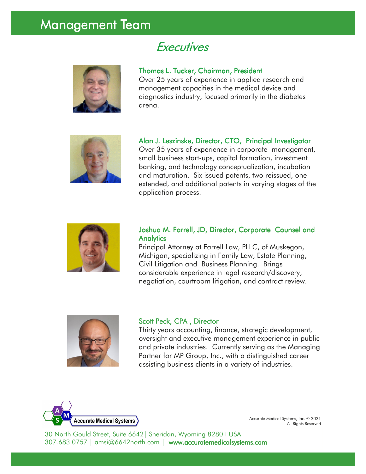## Management Team

### **Executives**



#### Thomas L. Tucker, Chairman, President

Over 25 years of experience in applied research and management capacities in the medical device and diagnostics industry, focused primarily in the diabetes arena.



Alan J. Leszinske, Director, CTO, Principal Investigator Over 35 years of experience in corporate management, small business start-ups, capital formation, investment banking, and technology conceptualization, incubation and maturation. Six issued patents, two reissued, one extended, and additional patents in varying stages of the application process.



#### Joshua M. Farrell, JD, Director, Corporate Counsel and **Analytics**

Principal Attorney at Farrell Law, PLLC, of Muskegon, Michigan, specializing in Family Law, Estate Planning, Civil Litigation and Business Planning. Brings considerable experience in legal research/discovery, negotiation, courtroom litigation, and contract review.



#### Scott Peck, CPA, Director

Thirty years accounting, finance, strategic development, oversight and executive management experience in public and private industries. Currently serving as the Managing Partner for MP Group, Inc., with a distinguished career assisting business clients in a variety of industries.



Accurate Medical Systems, Inc. © 2021 All Rights Reserved

30 North Gould Street, Suite 6642| Sheridan, Wyoming 82801 USA 307.683.0757 | amsi@6642north.com | www.accuratemedicalsystems.com